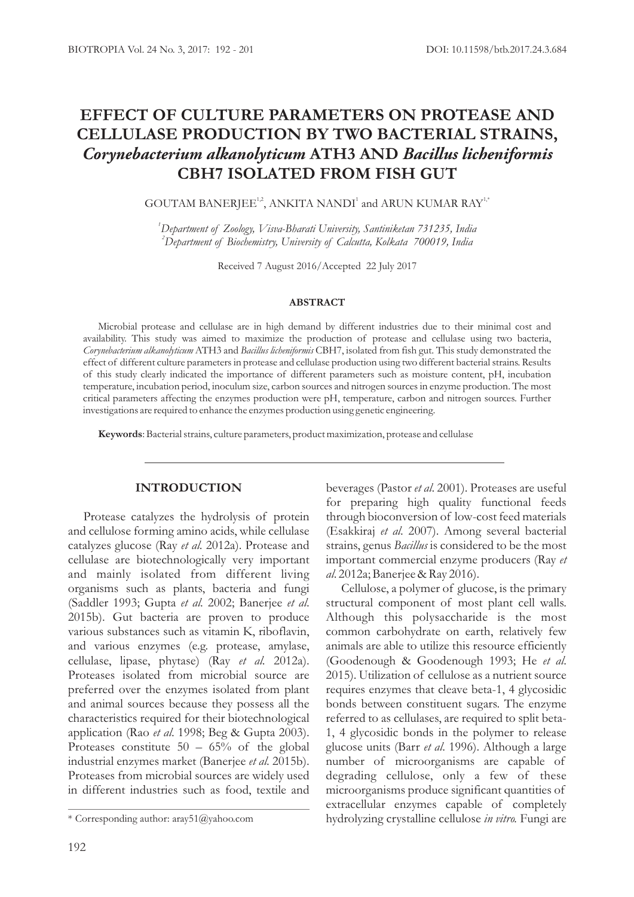# **EFFECT OF CULTURE PARAMETERS ON PROTEASE AND CELLULASE PRODUCTION BY TWO BACTERIAL STRAINS,**  *Corynebacterium alkanolyticum* **ATH3 AND** *Bacillus licheniformis* **CBH7 ISOLATED FROM FISH GUT**

GOUTAM BANERJEE<sup>1,2</sup>, ANKITA NANDI<sup>1</sup> and ARUN KUMAR RAY<sup>1,4</sup>

*<sup>1</sup>Department of Zoology, Visva-Bharati University, Santiniketan 731235, India <sup>2</sup>Department of Biochemistry, University of Calcutta, Kolkata 700019, India*

Received 7 August 2016/Accepted 22 July 2017

### **ABSTRACT**

Microbial protease and cellulase are in high demand by different industries due to their minimal cost and availability. This study was aimed to maximize the production of protease and cellulase using two bacteria, *Corynebacterium alkanolyticum* ATH3 and *Bacillus licheniformis* CBH7, isolated from fish gut. This study demonstrated the effect of different culture parameters in protease and cellulase production using two different bacterial strains. Results of this study clearly indicated the importance of different parameters such as moisture content, pH, incubation temperature, incubation period, inoculum size, carbon sources and nitrogen sources in enzyme production. The most critical parameters affecting the enzymes production were pH, temperature, carbon and nitrogen sources. Further investigations are required to enhance the enzymes production using genetic engineering.

**Keywords**: Bacterial strains, culture parameters, product maximization, protease and cellulase

## **INTRODUCTION**

Protease catalyzes the hydrolysis of protein and cellulose forming amino acids, while cellulase catalyzes glucose (Ray *et al*. 2012a). Protease and cellulase are biotechnologically very important and mainly isolated from different living organisms such as plants, bacteria and fungi (Saddler 1993; Gupta *et al*. 2002; Banerjee *et al*. 2015b). Gut bacteria are proven to produce various substances such as vitamin K, riboflavin, and various enzymes (e.g. protease, amylase, cellulase, lipase, phytase) (Ray *et al*. 2012a). Proteases isolated from microbial source are preferred over the enzymes isolated from plant and animal sources because they possess all the characteristics required for their biotechnological application (Rao *et al*. 1998; Beg & Gupta 2003). Proteases constitute 50 – 65% of the global industrial enzymes market (Banerjee *et al*. 2015b). Proteases from microbial sources are widely used in different industries such as food, textile and

beverages (Pastor *et al*. 2001). Proteases are useful for preparing high quality functional feeds through bioconversion of low-cost feed materials (Esakkiraj *et al*. 2007). Among several bacterial strains, genus *Bacillus* is considered to be the most important commercial enzyme producers (Ray *et al*. 2012a; Banerjee & Ray 2016).

Cellulose, a polymer of glucose, is the primary structural component of most plant cell walls. Although this polysaccharide is the most common carbohydrate on earth, relatively few animals are able to utilize this resource efficiently (Goodenough & Goodenough 1993; He *et al*. 2015). Utilization of cellulose as a nutrient source requires enzymes that cleave beta-1, 4 glycosidic bonds between constituent sugars. The enzyme referred to as cellulases, are required to split beta-1, 4 glycosidic bonds in the polymer to release glucose units (Barr *et al*. 1996). Although a large number of microorganisms are capable of degrading cellulose, only a few of these microorganisms produce significant quantities of extracellular enzymes capable of completely \* Corresponding author: aray51@yahoo.com hydrolyzing crystalline cellulose *in vitro.* Fungi are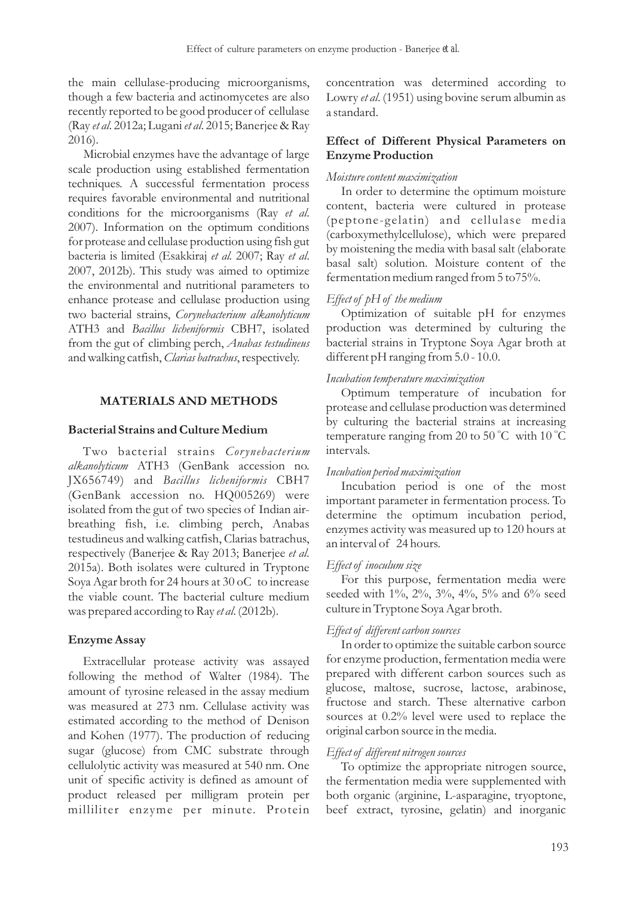the main cellulase-producing microorganisms, though a few bacteria and actinomycetes are also recently reported to be good producer of cellulase (Ray *et al*. 2012a; Lugani *et al*. 2015; Banerjee & Ray 2016).

Microbial enzymes have the advantage of large scale production using established fermentation techniques. A successful fermentation process requires favorable environmental and nutritional conditions for the microorganisms (Ray *et al*. 2007). Information on the optimum conditions for protease and cellulase production using fish gut bacteria is limited (Esakkiraj *et al.* 2007; Ray *et al*. 2007, 2012b). This study was aimed to optimize the environmental and nutritional parameters to enhance protease and cellulase production using two bacterial strains, *Corynebacterium alkanolyticum* ATH3 and *Bacillus licheniformis* CBH7, isolated from the gut of climbing perch, *Anabas testudineus*  and walking catfish, *Clarias batrachus*, respectively.

# **MATERIALS AND METHODS**

#### **Bacterial Strains and Culture Medium**

Two bacterial strains *Corynebacterium alkanolyticum* ATH3 (GenBank accession no. JX656749) and *Bacillus licheniformis* CBH7 (GenBank accession no. HQ005269) were isolated from the gut of two species of Indian airbreathing fish, i.e. climbing perch, Anabas testudineus and walking catfish, Clarias batrachus, respectively (Banerjee & Ray 2013; Banerjee *et al*. 2015a). Both isolates were cultured in Tryptone Soya Agar broth for 24 hours at 30 oC to increase the viable count. The bacterial culture medium was prepared according to Ray *et al*. (2012b).

### **Enzyme Assay**

Extracellular protease activity was assayed following the method of Walter (1984). The amount of tyrosine released in the assay medium was measured at 273 nm. Cellulase activity was estimated according to the method of Denison and Kohen (1977). The production of reducing sugar (glucose) from CMC substrate through cellulolytic activity was measured at 540 nm. One unit of specific activity is defined as amount of product released per milligram protein per milliliter enzyme per minute. Protein

concentration was determined according to Lowry *et al*. (1951) using bovine serum albumin as a standard.

# **Effect of Different Physical Parameters on Enzyme Production**

#### *Moisture content maximization*

In order to determine the optimum moisture content, bacteria were cultured in protease (peptone-gelatin) and cellulase media (carboxymethylcellulose), which were prepared by moistening the media with basal salt (elaborate basal salt) solution. Moisture content of the fermentation medium ranged from 5 to75%.

#### *Effect of pH of the medium*

Optimization of suitable pH for enzymes production was determined by culturing the bacterial strains in Tryptone Soya Agar broth at different pH ranging from 5.0 - 10.0.

#### *Incubation temperature maximization*

Optimum temperature of incubation for protease and cellulase production was determined by culturing the bacterial strains at increasing temperature ranging from 20 to 50 °C with 10 °C intervals.

### *Incubation period maximization*

Incubation period is one of the most important parameter in fermentation process. To determine the optimum incubation period, enzymes activity was measured up to 120 hours at an interval of 24 hours.

#### *Effect of inoculum size*

For this purpose, fermentation media were seeded with 1%, 2%, 3%, 4%, 5% and 6% seed culture in Tryptone Soya Agar broth.

#### *Effect of different carbon sources*

In order to optimize the suitable carbon source for enzyme production, fermentation media were prepared with different carbon sources such as glucose, maltose, sucrose, lactose, arabinose, fructose and starch. These alternative carbon sources at 0.2% level were used to replace the original carbon source in the media.

### *Effect of different nitrogen sources*

To optimize the appropriate nitrogen source, the fermentation media were supplemented with both organic (arginine, L-asparagine, tryoptone, beef extract, tyrosine, gelatin) and inorganic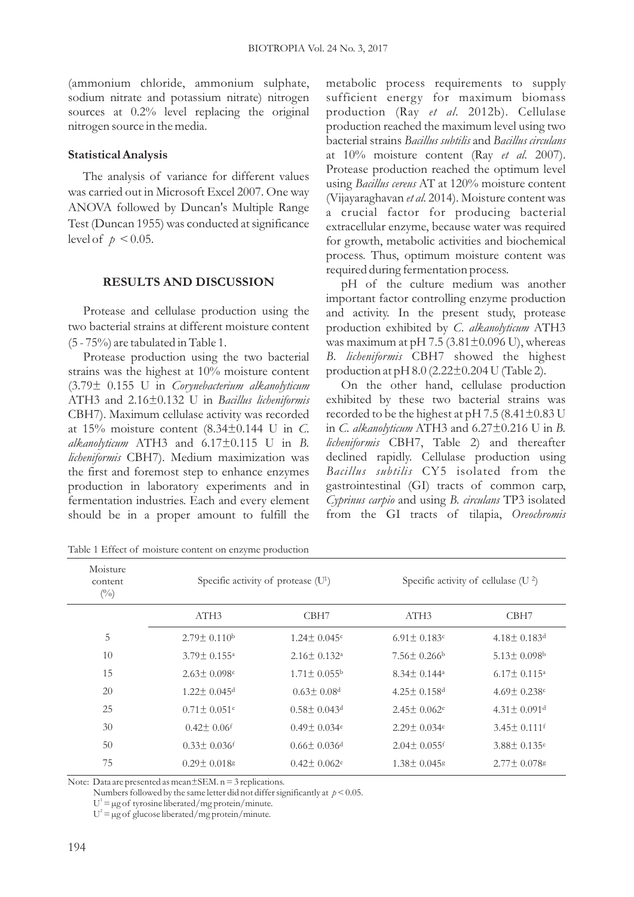(ammonium chloride, ammonium sulphate, sodium nitrate and potassium nitrate) nitrogen sources at 0.2% level replacing the original nitrogen source in the media.

## **Statistical Analysis**

The analysis of variance for different values was carried out in Microsoft Excel 2007. One way ANOVA followed by Duncan's Multiple Range Test (Duncan 1955) was conducted at significance level of  $p < 0.05$ .

### **RESULTS AND DISCUSSION**

Protease and cellulase production using the two bacterial strains at different moisture content (5 - 75%) are tabulated in Table 1.

Protease production using the two bacterial strains was the highest at 10% moisture content (3.79± 0.155 U in *Corynebacterium alkanolyticum* ATH3 and 2.16±0.132 U in *Bacillus licheniformis* CBH7). Maximum cellulase activity was recorded at 15% moisture content (8.34±0.144 U in *C*. *alkanolyticum* ATH3 and 6.17±0.115 U in *B. licheniformis* CBH7). Medium maximization was the first and foremost step to enhance enzymes production in laboratory experiments and in fermentation industries. Each and every element should be in a proper amount to fulfill the

metabolic process requirements to supply sufficient energy for maximum biomass production (Ray *et al*. 2012b). Cellulase production reached the maximum level using two bacterial strains *Bacillus subtilis* and *Bacillus circulans*  at 10% moisture content (Ray *et al*. 2007). Protease production reached the optimum level using *Bacillus cereus* AT at 120% moisture content (Vijayaraghavan *et al*. 2014). Moisture content was a crucial factor for producing bacterial extracellular enzyme, because water was required for growth, metabolic activities and biochemical process. Thus, optimum moisture content was required during fermentation process.

pH of the culture medium was another important factor controlling enzyme production and activity. In the present study, protease production exhibited by *C*. *alkanolyticum* ATH3 was maximum at pH 7.5 (3.81 $\pm$ 0.096 U), whereas *B. licheniformis* CBH7 showed the highest production at pH 8.0 (2.22±0.204 U (Table 2)*.*

On the other hand, cellulase production exhibited by these two bacterial strains was recorded to be the highest at pH 7.5 (8.41±0.83 U in *C*. *alkanolyticum* ATH3 and 6.27±0.216 U in *B. licheniformis* CBH7, Table 2) and thereafter declined rapidly. Cellulase production using *Bacillus subtilis* CY5 isolated from the gastrointestinal (GI) tracts of common carp, *Cyprinus carpio* and using *B. circulans* TP3 isolated from the GI tracts of tilapia, *Oreochromis*

Moisture content  $(\%)$ Specific activity of protease  $(U<sup>1</sup>)$ Specific activity of cellulase (U<sup>2</sup>) 5 10 15 20 25 30 50 75 ATH3 CBH7 CBH7 ATH3 CBH7  $2.79 \pm 0.110$ <sup>b</sup> 3.79± 0.155<sup>a</sup> 2.63± 0.098<sup>c</sup> 1.22± 0.045<sup>d</sup>  $0.71 \pm 0.051$ <sup>e</sup>  $0.42 \pm 0.06$ <sup>f</sup>  $0.33\pm0.036$ <sup>f</sup> 0.29± 0.018<sup>g</sup> 1.24± 0.045<sup>c</sup> 2.16± 0.132<sup>a</sup> 1.71± 0.055<sup>b</sup>  $0.63 \pm 0.08$ d 0.58± 0.043<sup>d</sup> 0.49± 0.034<sup>e</sup>  $0.66 \pm 0.036$ d  $0.42 \pm 0.062$ <sup>e</sup>  $6.91 \pm 0.183$ c 7.56± 0.266<sup>b</sup> 8.34± 0.144<sup>a</sup> 4.25± 0.158<sup>d</sup> 2.45± 0.062<sup>e</sup> 2.29± 0.034<sup>e</sup> 2.04± 0.055<sup>f</sup> 1.38± 0.045<sup>g</sup> 4.18± 0.183<sup>d</sup> 5.13± 0.098<sup>b</sup> 6.17± 0.115<sup>a</sup> 4.69± 0.238<sup>c</sup> 4.31± 0.091<sup>d</sup> 3.45± 0.111<sup>f</sup> 3.88± 0.135<sup>e</sup> 2.77± 0.078<sup>g</sup>

Table 1 Effect of moisture content on enzyme production

Note: Data are presented as mean $\pm$ SEM. n = 3 replications.

Numbers followed by the same letter did not differ significantly at  $p < 0.05$ .

 $U^1 = \mu g$  of tyrosine liberated/mg protein/minute.

 $U^2 = \mu g$  of glucose liberated/mg protein/minute.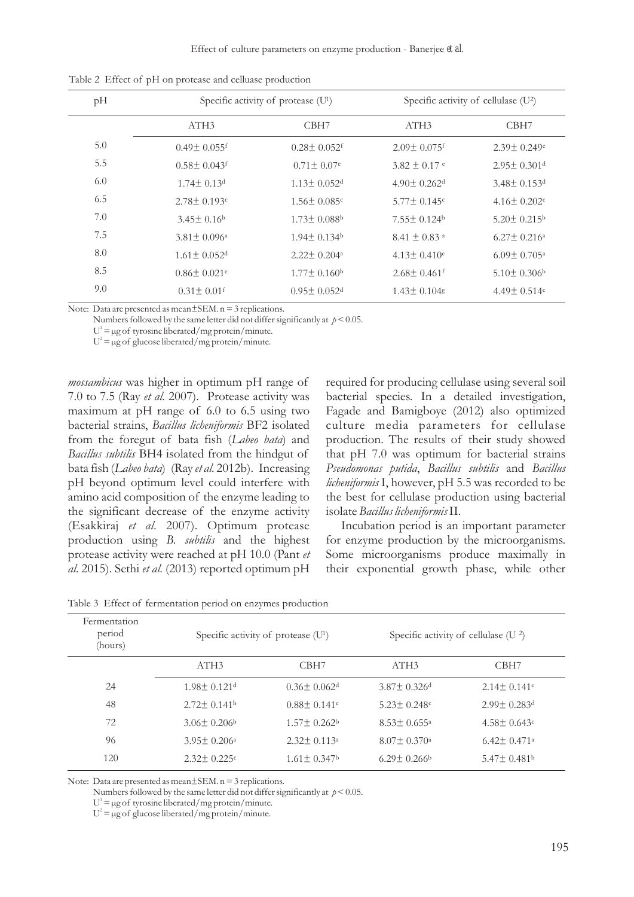Effect of culture parameters on enzyme production - Banerjee *et al.*

| pH  | Specific activity of protease $(U^1)$ |                              | Specific activity of cellulase $(U^2)$ |                               |
|-----|---------------------------------------|------------------------------|----------------------------------------|-------------------------------|
|     | ATH <sub>3</sub>                      | CBH <sub>7</sub>             | ATH <sub>3</sub>                       | CBH <sub>7</sub>              |
| 5.0 | $0.49 \pm 0.055$ f                    | $0.28 + 0.052$ <sup>f</sup>  | $2.09 + 0.075$ f                       | $2.39 + 0.249e$               |
| 5.5 | $0.58 + 0.043$                        | $0.71 \pm 0.07$ <sup>e</sup> | $3.82 + 0.17$ e                        | $2.95 + 0.301$ d              |
| 6.0 | $1.74 \pm 0.13$ <sup>d</sup>          | $1.13 + 0.052d$              | $4.90 + 0.262$ <sup>d</sup>            | $3.48 \pm 0.153$ <sup>d</sup> |
| 6.5 | $2.78 + 0.193c$                       | $1.56 \pm 0.085$ c           | $5.77 \pm 0.145$ c                     | $4.16 \pm 0.202$              |
| 7.0 | $3.45+0.16b$                          | $1.73 \pm 0.088$             | $7.55 + 0.124$                         | $5.20 \pm 0.215$              |
| 7.5 | $3.81 \pm 0.096$ <sup>a</sup>         | $1.94 + 0.134$               | $8.41 + 0.83$ <sup>a</sup>             | $6.27 + 0.216$ <sup>a</sup>   |
| 8.0 | $1.61 \pm 0.052$ d                    | $2.22 + 0.204a$              | $4.13 + 0.410e$                        | $6.09 \pm 0.705$ <sup>a</sup> |
| 8.5 | $0.86 \pm 0.021$ <sup>e</sup>         | $1.77\pm0.160b$              | $2.68 \pm 0.461$ <sup>f</sup>          | $5.10 \pm 0.306$              |
| 9.0 | $0.31 + 0.01$                         | $0.95 + 0.052$ d             | $1.43 + 0.104$                         | $4.49 + 0.514c$               |

Table 2 Effect of pH on protease and celluase production

Note: Data are presented as mean ± SEM.  $n = 3$  replications.

Numbers followed by the same letter did not differ significantly at  $p < 0.05$ .

 $U^1 = \mu g$  of tyrosine liberated/mg protein/minute.

 $U^2 = \mu g$  of glucose liberated/mg protein/minute.

*mossambicus* was higher in optimum pH range of 7.0 to 7.5 (Ray *et al*. 2007). Protease activity was maximum at pH range of 6.0 to 6.5 using two bacterial strains, *Bacillus licheniformis* BF2 isolated from the foregut of bata fish (*Labeo bata*) and *Bacillus subtilis* BH4 isolated from the hindgut of bata fish (*Labeo bata*) (Ray *et al.* 2012b). Increasing pH beyond optimum level could interfere with amino acid composition of the enzyme leading to the significant decrease of the enzyme activity (Esakkiraj *et al*. 2007). Optimum protease production using *B. subtilis* and the highest protease activity were reached at pH 10.0 (Pant *et al*. 2015). Sethi *et al*. (2013) reported optimum pH

required for producing cellulase using several soil bacterial species. In a detailed investigation, Fagade and Bamigboye (2012) also optimized culture media parameters for cellulase production. The results of their study showed that pH 7.0 was optimum for bacterial strains *Pseudomonas putida*, *Bacillus subtilis* and *Bacillus licheniformis* I, however, pH 5.5 was recorded to be the best for cellulase production using bacterial isolate *Bacillus licheniformis*II.

Incubation period is an important parameter for enzyme production by the microorganisms. Some microorganisms produce maximally in their exponential growth phase, while other

| Fermentation<br>period<br>(hours) | Specific activity of protease (U <sup>1</sup> ) |                               | Specific activity of cellulase ( $U^2$ ) |                               |
|-----------------------------------|-------------------------------------------------|-------------------------------|------------------------------------------|-------------------------------|
|                                   | ATH3                                            | CBH <sub>7</sub>              | ATH <sub>3</sub>                         | CBH <sub>7</sub>              |
| 24                                | $1.98 + 0.121$ <sup>d</sup>                     | $0.36 \pm 0.062$ <sup>d</sup> | $3.87 + 0.326$ <sup>d</sup>              | $2.14 + 0.141e$               |
| 48                                | $2.72 \pm 0.141$                                | $0.88 + 0.141c$               | $5.23 + 0.248c$                          | $2.99 \pm 0.283$ d            |
| 72                                | $3.06 \pm 0.206$                                | $1.57 + 0.262^b$              | $8.53 + 0.655$ <sup>a</sup>              | $4.58 + 0.643c$               |
| 96                                | $3.95 \pm 0.206^{\circ}$                        | $2.32 + 0.113a$               | $8.07 + 0.370$ <sup>a</sup>              | $6.42 \pm 0.471$ <sup>a</sup> |
| 120                               | $2.32 + 0.225c$                                 | $1.61 \pm 0.347$              | $6.29 + 0.266$                           | $5.47 \pm 0.481$ <sup>b</sup> |

Table 3 Effect of fermentation period on enzymes production

Note: Data are presented as mean ± SEM.  $n = 3$  replications.

Numbers followed by the same letter did not differ significantly at  $p < 0.05$ .

 $U^1 = \mu g$  of tyrosine liberated/mg protein/minute.

 $U^2 = \mu g$  of glucose liberated/mg protein/minute.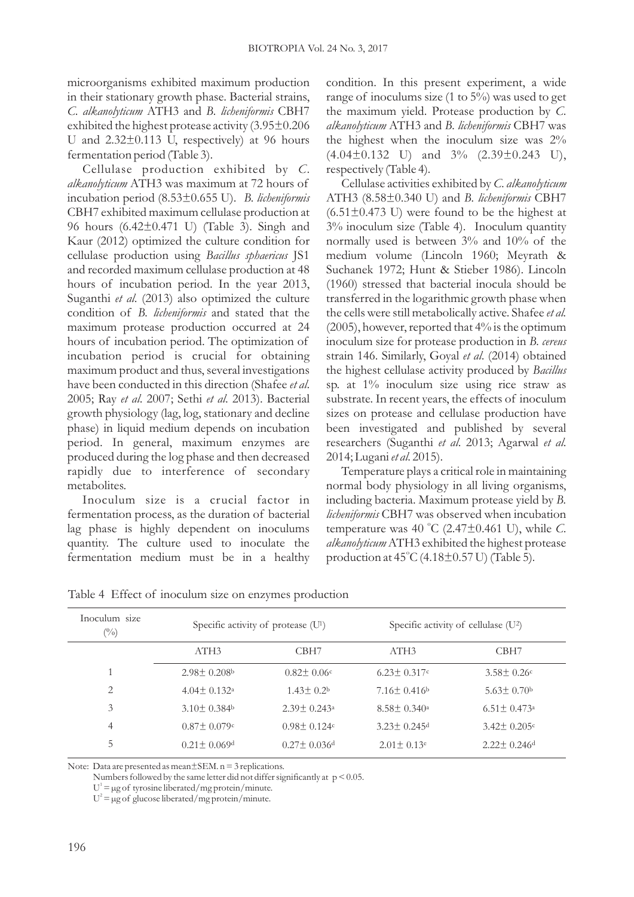microorganisms exhibited maximum production in their stationary growth phase. Bacterial strains, *C*. *alkanolyticum* ATH3 and *B. licheniformis* CBH7 exhibited the highest protease activity (3.95±0.206 U and  $2.32\pm0.113$  U, respectively) at 96 hours fermentation period (Table 3).

Cellulase production exhibited by *C*. *alkanolyticum* ATH3 was maximum at 72 hours of incubation period (8.53±0.655 U). *B. licheniformis* CBH7 exhibited maximum cellulase production at 96 hours (6.42±0.471 U) (Table 3). Singh and Kaur (2012) optimized the culture condition for cellulase production using *Bacillus sphaericus* JS1 and recorded maximum cellulase production at 48 hours of incubation period. In the year 2013, Suganthi *et al*. (2013) also optimized the culture condition of *B. licheniformis* and stated that the maximum protease production occurred at 24 hours of incubation period. The optimization of incubation period is crucial for obtaining maximum product and thus, several investigations have been conducted in this direction (Shafee *et al*. 2005; Ray *et al*. 2007; Sethi *et al*. 2013). Bacterial growth physiology (lag, log, stationary and decline phase) in liquid medium depends on incubation period. In general, maximum enzymes are produced during the log phase and then decreased rapidly due to interference of secondary metabolites.

Inoculum size is a crucial factor in fermentation process, as the duration of bacterial lag phase is highly dependent on inoculums quantity. The culture used to inoculate the fermentation medium must be in a healthy condition. In this present experiment, a wide range of inoculums size (1 to 5%) was used to get the maximum yield. Protease production by *C*. *alkanolyticum* ATH3 and *B. licheniformis* CBH7 was the highest when the inoculum size was 2%  $(4.04\pm0.132 \text{ U})$  and  $3\%$   $(2.39\pm0.243 \text{ U})$ , respectively (Table 4)*.*

Cellulase activities exhibited by *C*. *alkanolyticum* ATH3 (8.58±0.340 U) and *B. licheniformis* CBH7  $(6.51\pm0.473)$  U) were found to be the highest at 3% inoculum size (Table 4). Inoculum quantity normally used is between 3% and 10% of the medium volume (Lincoln 1960; Meyrath & Suchanek 1972; Hunt & Stieber 1986). Lincoln (1960) stressed that bacterial inocula should be transferred in the logarithmic growth phase when the cells were still metabolically active. Shafee *et al.*  (2005), however, reported that 4% is the optimum inoculum size for protease production in *B. cereus*  strain 146. Similarly, Goyal *et al*. (2014) obtained the highest cellulase activity produced by *Bacillus* sp. at 1% inoculum size using rice straw as substrate. In recent years, the effects of inoculum sizes on protease and cellulase production have been investigated and published by several researchers (Suganthi *et al*. 2013; Agarwal *et al*. 2014; Lugani *et al*. 2015).

Temperature plays a critical role in maintaining normal body physiology in all living organisms, including bacteria. Maximum protease yield by *B. licheniformis* CBH7 was observed when incubation temperature was 40 °C (2.47 $\pm$ 0.461 U), while C. *alkanolyticum*ATH3 exhibited the highest protease production at  $45^{\circ}$ C (4.18 $\pm$ 0.57 U) (Table 5).

| Inoculum size<br>$(\%)$ | Specific activity of protease (U <sup>1</sup> ) |                               | Specific activity of cellulase $(U^2)$ |                               |
|-------------------------|-------------------------------------------------|-------------------------------|----------------------------------------|-------------------------------|
|                         | ATH3                                            | CBH <sub>7</sub>              | ATH3                                   | CBH <sub>7</sub>              |
|                         | $2.98 + 0.208$                                  | $0.82 \pm 0.06$ <sup>c</sup>  | $6.23 + 0.317c$                        | $3.58 + 0.26c$                |
| 2                       | $4.04 \pm 0.132$ <sup>a</sup>                   | $1.43 + 0.2b$                 | $7.16 \pm 0.416^{\circ}$               | $5.63 \pm 0.70$               |
| 3                       | $3.10 \pm 0.384$                                | $2.39 + 0.243^{\circ}$        | $8.58 + 0.340^{\circ}$                 | $6.51 \pm 0.473$ <sup>a</sup> |
| 4                       | $0.87 \pm 0.079$ c                              | $0.98 + 0.124c$               | $3.23 \pm 0.245$ <sup>d</sup>          | $3.42 \pm 0.205$              |
| 5                       | $0.21 \pm 0.069$ <sup>d</sup>                   | $0.27 \pm 0.036$ <sup>d</sup> | $2.01 \pm 0.13^e$                      | $2.22 + 0.246$ <sup>d</sup>   |

Table 4 Effect of inoculum size on enzymes production

Note: Data are presented as mean $\pm$ SEM. n = 3 replications.

Numbers followed by the same letter did not differ significantly at  $p \le 0.05$ .

 $U^1 = \mu g$  of tyrosine liberated/mg protein/minute.

 $U^2 = \mu g$  of glucose liberated/mg protein/minute.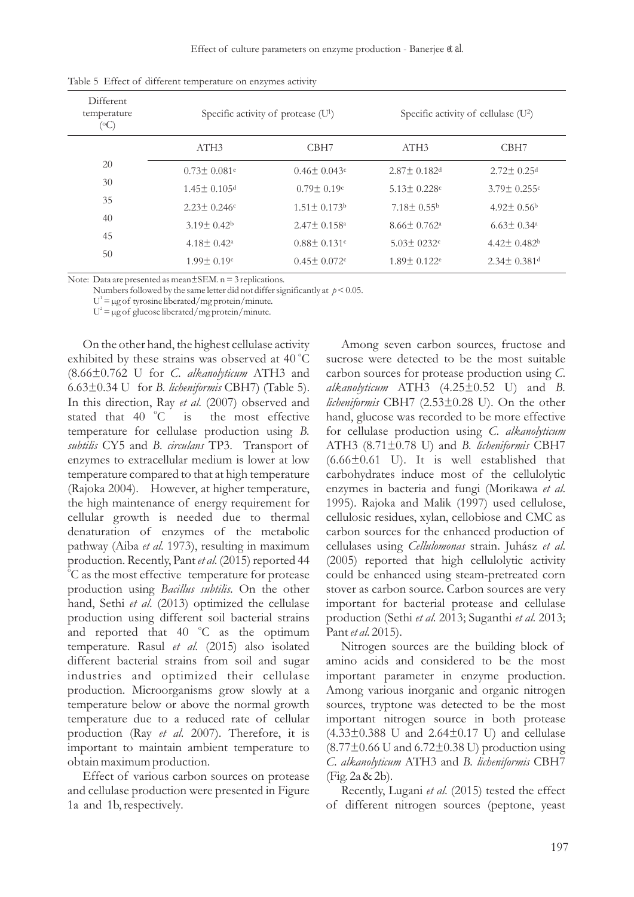Effect of culture parameters on enzyme production - Banerjee *et al.*

| Different.<br>temperature<br>(°C) | Specific activity of protease (U <sup>1</sup> ) |                             | Specific activity of cellulase $(U^2)$ |                               |
|-----------------------------------|-------------------------------------------------|-----------------------------|----------------------------------------|-------------------------------|
|                                   | ATH3                                            | CBH <sub>7</sub>            | ATH <sub>3</sub>                       | CBH7                          |
| 20                                | $0.73 \pm 0.081$ <sup>e</sup>                   | $0.46 \pm 0.043$ c          | $2.87 + 0.182$ <sup>d</sup>            | $2.72 \pm 0.25$ <sup>d</sup>  |
| 30                                | $1.45 + 0.105$ <sup>d</sup>                     | $0.79 + 0.19c$              | $5.13 + 0.228c$                        | $3.79 \pm 0.255$ c            |
| 35                                | $2.23 + 0.246c$                                 | $1.51 + 0.173$ <sup>b</sup> | $7.18 \pm 0.55$                        | $4.92 \pm 0.56$               |
| 40                                | $3.19 + 0.42^b$                                 | $2.47 + 0.158$ <sup>a</sup> | $8.66 \pm 0.762$ <sup>a</sup>          | $6.63 \pm 0.34$ <sup>a</sup>  |
| 45                                | $4.18 \pm 0.42^{\mathrm{a}}$                    | $0.88 + 0.131c$             | $5.03 \pm 0.232$ c                     | $4.42 \pm 0.482$              |
| 50                                | $1.99 + 0.19c$                                  | $0.45 + 0.072c$             | $1.89 + 0.122e$                        | $2.34 \pm 0.381$ <sup>d</sup> |

Table 5 Effect of different temperature on enzymes activity

Note: Data are presented as mean ± SEM. n = 3 replications.

Numbers followed by the same letter did not differ significantly at  $p < 0.05$ .

 $U^1 = \mu g$  of tyrosine liberated/mg protein/minute.

 $U^2 = \mu g$  of glucose liberated/mg protein/minute.

On the other hand, the highest cellulase activity exhibited by these strains was observed at  $40^{\circ}$ C (8.66±0.762 U for *C*. *alkanolyticum* ATH3 and 6.63±0.34 U for *B. licheniformis* CBH7) (Table 5). In this direction, Ray *et al*. (2007) observed and is the most effective stated that 40 °C temperature for cellulase production using *B. subtilis* CY5 and *B. circulans* TP3. Transport of enzymes to extracellular medium is lower at low temperature compared to that at high temperature (Rajoka 2004). However, at higher temperature, the high maintenance of energy requirement for cellular growth is needed due to thermal denaturation of enzymes of the metabolic pathway (Aiba *et al*. 1973), resulting in maximum production. Recently, Pant *et al*. (2015) reported 44  $\overline{C}$  as the most effective temperature for protease production using *Bacillus subtilis*. On the other hand, Sethi *et al*. (2013) optimized the cellulase production using different soil bacterial strains and reported that  $40^\circ\text{C}$  as the optimum temperature. Rasul *et al*. (2015) also isolated different bacterial strains from soil and sugar industries and optimized their cellulase production. Microorganisms grow slowly at a temperature below or above the normal growth temperature due to a reduced rate of cellular production (Ray *et al*. 2007). Therefore, it is important to maintain ambient temperature to obtain maximum production.

Effect of various carbon sources on protease and cellulase production were presented in Figure 1a and 1b, respectively*.*

Among seven carbon sources, fructose and sucrose were detected to be the most suitable carbon sources for protease production using *C*. *alkanolyticum* ATH3 (4.25±0.52 U) and *B. licheniformis* CBH7 (2.53±0.28 U). On the other hand, glucose was recorded to be more effective for cellulase production using *C*. *alkanolyticum* ATH3 (8.71±0.78 U) and *B. licheniformis* CBH7  $(6.66\pm0.61)$  U). It is well established that carbohydrates induce most of the cellulolytic enzymes in bacteria and fungi (Morikawa *et al*. 1995). Rajoka and Malik (1997) used cellulose, cellulosic residues, xylan, cellobiose and CMC as carbon sources for the enhanced production of cellulases using *Cellulomonas* strain. Juhász *et al*. (2005) reported that high cellulolytic activity could be enhanced using steam-pretreated corn stover as carbon source. Carbon sources are very important for bacterial protease and cellulase production (Sethi *et al*. 2013; Suganthi *et al*. 2013; Pant *et al*. 2015).

Nitrogen sources are the building block of amino acids and considered to be the most important parameter in enzyme production. Among various inorganic and organic nitrogen sources, tryptone was detected to be the most important nitrogen source in both protease  $(4.33\pm0.388 \text{ U and } 2.64\pm0.17 \text{ U})$  and cellulase  $(8.77\pm0.66 \text{ U and } 6.72\pm0.38 \text{ U})$  production using *C*. *alkanolyticum* ATH3 and *B. licheniformis* CBH7 (Fig. 2a & 2b)*.*

Recently, Lugani *et al*. (2015) tested the effect of different nitrogen sources (peptone, yeast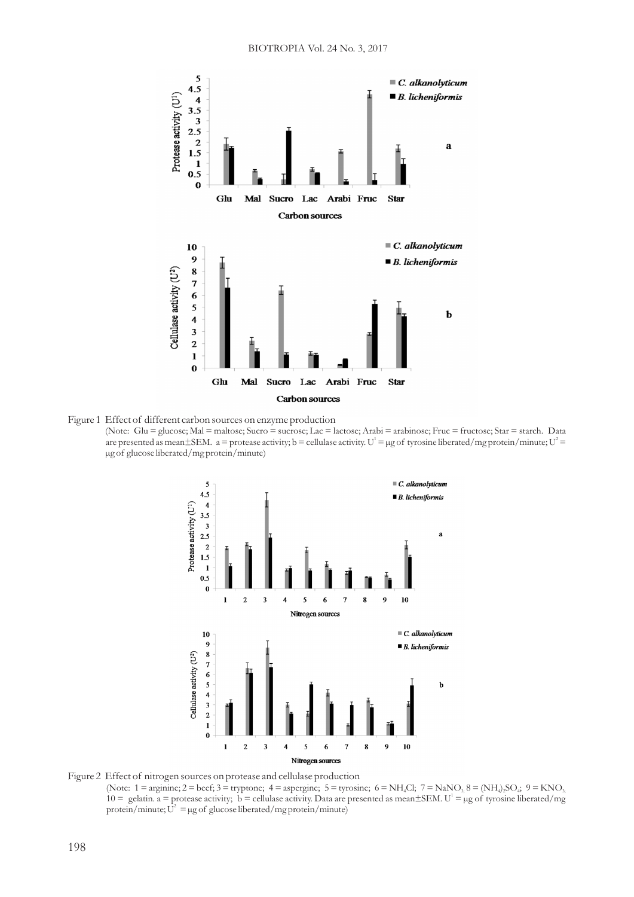

Figure 1 Effect of different carbon sources on enzyme production (Note: Glu = glucose; Mal = maltose; Sucro = sucrose; Lac = lactose; Arabi = arabinose; Fruc = fructose; Star = starch. Data are presented as mean $\pm$ SEM.  $a =$  protease activity; b = cellulase activity. U<sup>1</sup> = µg of tyrosine liberated/mg protein/minute; U<sup>2</sup> = µg of glucose liberated/mg protein/minute)



Figure 2 Effect of nitrogen sources on protease and cellulase production (Note:  $1 = \text{arginine}; 2 = \text{beef}; 3 = \text{tryptone}; 4 = \text{asperging}; 5 = \text{tyrosine}; 6 = \text{NH}_4\text{Cl}; 7 = \text{NaNO}_3; 8 = (\text{NH}_4)_2\text{SO}_4; 9 = \text{KNO}_3$ 10 = gelatin. a = protease activity; b = cellulase activity. Data are presented as mean $\pm$ SEM. U<sup>1</sup> = µg of tyrosine liberated/mg protein/minute;  $\overline{U}^2 = \mu g$  of glucose liberated/mg protein/minute)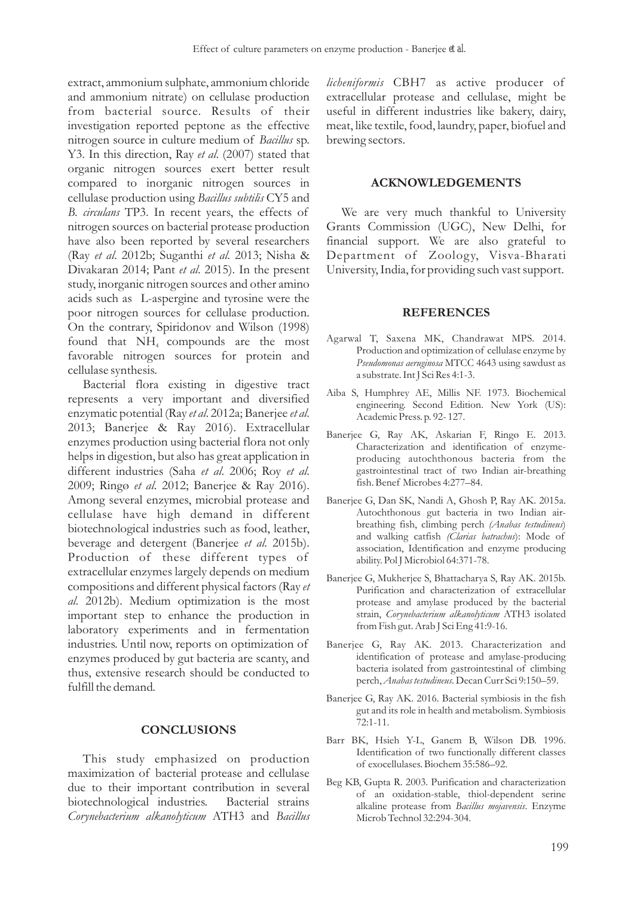extract, ammonium sulphate, ammonium chloride and ammonium nitrate) on cellulase production from bacterial source. Results of their investigation reported peptone as the effective nitrogen source in culture medium of *Bacillus* sp. Y3. In this direction, Ray *et al*. (2007) stated that organic nitrogen sources exert better result compared to inorganic nitrogen sources in cellulase production using *Bacillus subtilis* CY5 and *B. circulans* TP3. In recent years, the effects of nitrogen sources on bacterial protease production have also been reported by several researchers (Ray *et al*. 2012b; Suganthi *et al*. 2013; Nisha & Divakaran 2014; Pant *et al*. 2015). In the present study, inorganic nitrogen sources and other amino acids such as L-aspergine and tyrosine were the poor nitrogen sources for cellulase production. On the contrary, Spiridonov and Wilson (1998) found that  $NH<sub>4</sub>$  compounds are the most favorable nitrogen sources for protein and cellulase synthesis.

Bacterial flora existing in digestive tract represents a very important and diversified enzymatic potential (Ray *et al*. 2012a; Banerjee *et al*. 2013; Banerjee & Ray 2016). Extracellular enzymes production using bacterial flora not only helps in digestion, but also has great application in different industries (Saha *et al*. 2006; Roy *et al*. 2009; Ringø *et al*. 2012; Banerjee & Ray 2016). Among several enzymes, microbial protease and cellulase have high demand in different biotechnological industries such as food, leather, beverage and detergent (Banerjee *et al*. 2015b). Production of these different types of extracellular enzymes largely depends on medium compositions and different physical factors (Ray *et al*. 2012b). Medium optimization is the most important step to enhance the production in laboratory experiments and in fermentation industries. Until now, reports on optimization of enzymes produced by gut bacteria are scanty, and thus, extensive research should be conducted to fulfill the demand*.*

# **CONCLUSIONS**

This study emphasized on production maximization of bacterial protease and cellulase due to their important contribution in several biotechnological industries. Bacterial strains *Corynebacterium alkanolyticum* ATH3 and *Bacillus*

*licheniformis* CBH7 as active producer of extracellular protease and cellulase, might be useful in different industries like bakery, dairy, meat, like textile, food, laundry, paper, biofuel and brewing sectors.

## **ACKNOWLEDGEMENTS**

We are very much thankful to University Grants Commission (UGC), New Delhi, for financial support. We are also grateful to Department of Zoology, Visva-Bharati University, India, for providing such vast support.

# **REFERENCES**

- Agarwal T, Saxena MK, Chandrawat MPS. 2014. Production and optimization of cellulase enzyme by *Pseudomonas aeruginosa* MTCC 4643 using sawdust as a substrate. Int J Sci Res 4:1-3.
- Aiba S, Humphrey AE, Millis NF. 1973. Biochemical engineering. Second Edition. New York (US): Academic Press. p. 92- 127.
- Banerjee G, Ray AK, Askarian F, Ringø E. 2013. Characterization and identification of enzymeproducing autochthonous bacteria from the gastrointestinal tract of two Indian air-breathing fish. Benef Microbes 4:277–84.
- Banerjee G, Dan SK, Nandi A, Ghosh P, Ray AK. 2015a. Autochthonous gut bacteria in two Indian airbreathing fish, climbing perch *(Anabas testudineus*) and walking catfish *(Clarias batrachus*): Mode of association, Identification and enzyme producing ability. Pol J Microbiol 64:371-78.
- Banerjee G, Mukherjee S, Bhattacharya S, Ray AK. 2015b. Purification and characterization of extracellular protease and amylase produced by the bacterial strain, *Corynebacterium alkanolyticum* ATH3 isolated from Fish gut. Arab J Sci Eng 41:9-16.
- Banerjee G, Ray AK. 2013. Characterization and identification of protease and amylase-producing bacteria isolated from gastrointestinal of climbing perch, *Anabas testudineus*. Decan Curr Sci 9:150–59.
- Banerjee G, Ray AK. 2016. Bacterial symbiosis in the fish gut and its role in health and metabolism. Symbiosis  $72:1-11.$
- Barr BK, Hsieh Y-L, Ganem B, Wilson DB. 1996. Identification of two functionally different classes of exocellulases. Biochem 35:586–92.
- Beg KB, Gupta R. 2003. Purification and characterization of an oxidation-stable, thiol-dependent serine alkaline protease from *Bacillus mojavensis*. Enzyme Microb Technol 32:294-304.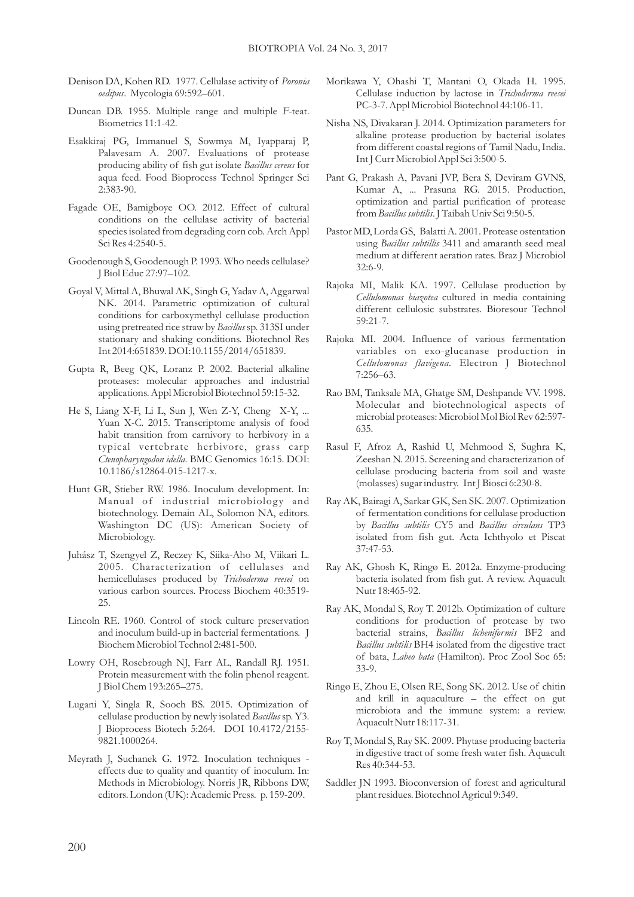- Denison DA, Kohen RD. 1977. Cellulase activity of *Poronia oedipus*. Mycologia 69:592–601.
- Duncan DB. 1955. Multiple range and multiple *F*-teat. Biometrics 11:1-42.
- Esakkiraj PG, Immanuel S, Sowmya M, Iyapparaj P, Palavesam A. 2007. Evaluations of protease producing ability of fish gut isolate *Bacillus cereus* for aqua feed. Food Bioprocess Technol Springer Sci 2:383-90.
- Fagade OE, Bamigboye OO. 2012. Effect of cultural conditions on the cellulase activity of bacterial species isolated from degrading corn cob. Arch Appl Sci Res 4:2540-5.
- Goodenough S, Goodenough P. 1993. Who needs cellulase? J Biol Educ 27:97–102.
- Goyal V, Mittal A, Bhuwal AK, Singh G, Yadav A, Aggarwal NK. 2014. Parametric optimization of cultural conditions for carboxymethyl cellulase production using pretreated rice straw by *Bacillus* sp. 313SI under stationary and shaking conditions. Biotechnol Res Int 2014:651839. DOI:10.1155/2014/651839.
- Gupta R, Beeg QK, Loranz P. 2002. Bacterial alkaline proteases: molecular approaches and industrial applications. Appl Microbiol Biotechnol 59:15-32.
- He S, Liang X-F, Li L, Sun J, Wen Z-Y, Cheng X-Y, ... Yuan X-C. 2015. Transcriptome analysis of food habit transition from carnivory to herbivory in a typical vertebrate herbivore, grass carp *Ctenopharyngodon idella*. BMC Genomics 16:15. DOI: 10.1186/s12864-015-1217-x.
- Hunt GR, Stieber RW. 1986. Inoculum development. In: Manual of industrial microbiology and biotechnology. Demain AL, Solomon NA, editors. Washington DC (US): American Society of Microbiology.
- Juhász T, Szengyel Z, Reczey K, Siika-Aho M, Viikari L. 2005. Characterization of cellulases and hemicellulases produced by *Trichoderma reesei* on various carbon sources. Process Biochem 40:3519- 25.
- Lincoln RE. 1960. Control of stock culture preservation and inoculum build-up in bacterial fermentations. J Biochem Microbiol Technol 2:481-500.
- Lowry OH, Rosebrough NJ, Farr AL, Randall RJ. 1951. Protein measurement with the folin phenol reagent. J Biol Chem 193:265–275.
- Lugani Y, Singla R, Sooch BS. 2015. Optimization of cellulase production by newly isolated *Bacillus*sp. Y3. J Bioprocess Biotech 5:264. DOI 10.4172/2155- 9821.1000264.
- Meyrath J, Suchanek G. 1972. Inoculation techniques effects due to quality and quantity of inoculum. In: Methods in Microbiology. Norris JR, Ribbons DW, editors. London (UK): Academic Press. p. 159-209.
- Morikawa Y, Ohashi T, Mantani O, Okada H. 1995. Cellulase induction by lactose in *Trichoderma reesei* PC-3-7. Appl Microbiol Biotechnol 44:106-11.
- Nisha NS, Divakaran J. 2014. Optimization parameters for alkaline protease production by bacterial isolates from different coastal regions of Tamil Nadu, India. Int J Curr Microbiol Appl Sci 3:500-5.
- Pant G, Prakash A, Pavani JVP, Bera S, Deviram GVNS, Kumar A, ... Prasuna RG. 2015. Production, optimization and partial purification of protease from *Bacillus subtilis*. J Taibah Univ Sci 9:50-5.
- Pastor MD, Lorda GS, Balatti A. 2001. Protease ostentation using *Bacillus subtillis* 3411 and amaranth seed meal medium at different aeration rates. Braz J Microbiol 32:6-9.
- Rajoka MI, Malik KA. 1997. Cellulase production by *Cellulomonas biazotea* cultured in media containing different cellulosic substrates. Bioresour Technol 59:21-7.
- Rajoka MI. 2004. Influence of various fermentation variables on exo-glucanase production in *Cellulomonas flavigena*. Electron J Biotechnol 7:256–63.
- Rao BM, Tanksale MA, Ghatge SM, Deshpande VV. 1998. Molecular and biotechnological aspects of microbial proteases: Microbiol Mol Biol Rev 62:597- 635.
- Rasul F, Afroz A, Rashid U, Mehmood S, Sughra K, Zeeshan N. 2015. Screening and characterization of cellulase producing bacteria from soil and waste (molasses) sugar industry. Int J Biosci 6:230-8.
- Ray AK, Bairagi A, Sarkar GK, Sen SK. 2007. Optimization of fermentation conditions for cellulase production by *Bacillus subtilis* CY5 and *Bacillus circulans* TP3 isolated from fish gut. Acta Ichthyolo et Piscat 37:47-53.
- Ray AK, Ghosh K, Ringø E. 2012a. Enzyme-producing bacteria isolated from fish gut. A review. Aquacult Nutr 18:465-92.
- Ray AK, Mondal S, Roy T. 2012b. Optimization of culture conditions for production of protease by two bacterial strains, *Bacillus licheniformis* BF2 and *Bacillus subtilis* BH4 isolated from the digestive tract of bata, *Labeo bata* (Hamilton). Proc Zool Soc 65: 33-9.
- Ringø E, Zhou E, Olsen RE, Song SK. 2012. Use of chitin and krill in aquaculture – the effect on gut microbiota and the immune system: a review. Aquacult Nutr 18:117-31.
- Roy T, Mondal S, Ray SK. 2009. Phytase producing bacteria in digestive tract of some fresh water fish. Aquacult Res 40:344-53.
- Saddler JN 1993. Bioconversion of forest and agricultural plant residues. Biotechnol Agricul 9:349.